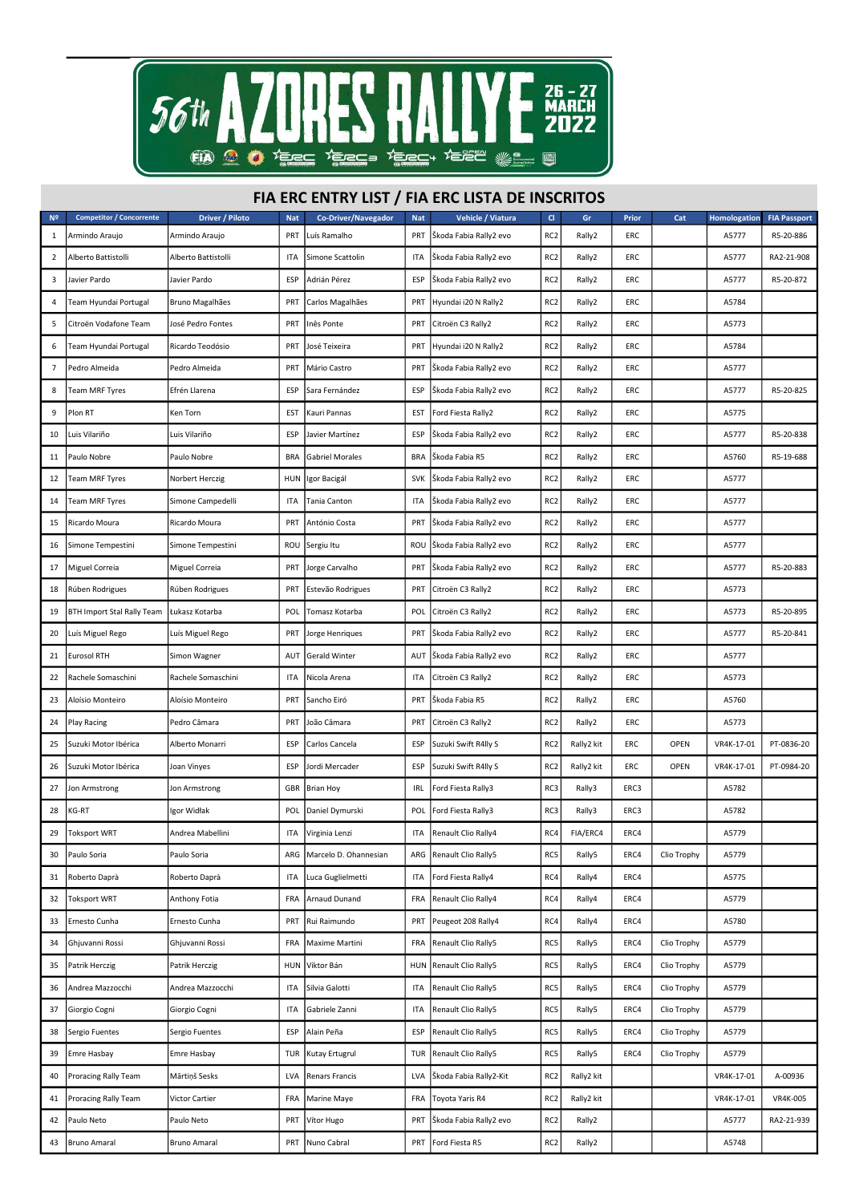

## FIA ERC ENTRY LIST / FIA ERC LISTA DE INSCRITOS

| Nº | <b>Competitor / Concorrente</b>   | Driver / Piloto     | <b>Nat</b> | <b>Co-Driver/Navegador</b> | <b>Nat</b> | Vehicle / Viatura      | $\mathsf{C}$    | Gr         | Prior | Cat         | Homologation | <b>FIA Passport</b> |
|----|-----------------------------------|---------------------|------------|----------------------------|------------|------------------------|-----------------|------------|-------|-------------|--------------|---------------------|
| 1  | Armindo Araujo                    | Armindo Araujo      | PRT        | Luís Ramalho               | PRT        | Škoda Fabia Rally2 evo | RC <sub>2</sub> | Rally2     | ERC   |             | A5777        | R5-20-886           |
| 2  | Alberto Battistolli               | Alberto Battistolli | ITA        | Simone Scattolin           | ITA        | Škoda Fabia Rally2 evo | RC <sub>2</sub> | Rally2     | ERC   |             | A5777        | RA2-21-908          |
| 3  | Javier Pardo                      | Javier Pardo        | ESP        | Adrián Pérez               | ESP        | Škoda Fabia Rally2 evo | RC <sub>2</sub> | Rally2     | ERC   |             | A5777        | R5-20-872           |
| 4  | Team Hyundai Portugal             | Bruno Magalhães     | PRT        | Carlos Magalhães           | PRT        | Hyundai i20 N Rally2   | RC <sub>2</sub> | Rally2     | ERC   |             | A5784        |                     |
| 5  | Citroën Vodafone Team             | José Pedro Fontes   | PRT        | Inês Ponte                 | PRT        | Citroën C3 Rally2      | RC <sub>2</sub> | Rally2     | ERC   |             | A5773        |                     |
| 6  | Team Hyundai Portugal             | Ricardo Teodósio    | PRT        | José Teixeira              | PRT        | Hyundai i20 N Rally2   | RC <sub>2</sub> | Rally2     | ERC   |             | A5784        |                     |
| 7  | Pedro Almeida                     | Pedro Almeida       | PRT        | Mário Castro               | PRT        | Škoda Fabia Rally2 evo | RC <sub>2</sub> | Rally2     | ERC   |             | A5777        |                     |
| 8  | Team MRF Tyres                    | Efrén Llarena       | ESP        | Sara Fernández             | ESP        | Škoda Fabia Rally2 evo | RC <sub>2</sub> | Rally2     | ERC   |             | A5777        | R5-20-825           |
| 9  | Plon RT                           | Ken Torn            | EST        | Kauri Pannas               | EST        | Ford Fiesta Rally2     | RC <sub>2</sub> | Rally2     | ERC   |             | A5775        |                     |
| 10 | Luis Vilariño                     | Luis Vilariño       | ESP        | Javier Martínez            | ESP        | Škoda Fabia Rally2 evo | RC <sub>2</sub> | Rally2     | ERC   |             | A5777        | R5-20-838           |
| 11 | Paulo Nobre                       | Paulo Nobre         | <b>BRA</b> | <b>Gabriel Morales</b>     | <b>BRA</b> | Škoda Fabia R5         | RC <sub>2</sub> | Rally2     | ERC   |             | A5760        | R5-19-688           |
| 12 | Team MRF Tyres                    | Norbert Herczig     | <b>HUN</b> | Igor Bacigál               | <b>SVK</b> | Škoda Fabia Rally2 evo | RC <sub>2</sub> | Rally2     | ERC   |             | A5777        |                     |
| 14 | Team MRF Tyres                    | Simone Campedelli   | ITA        | Tania Canton               | ITA        | Škoda Fabia Rally2 evo | RC <sub>2</sub> | Rally2     | ERC   |             | A5777        |                     |
| 15 | Ricardo Moura                     | Ricardo Moura       | PRT        | António Costa              | PRT        | Škoda Fabia Rally2 evo | RC <sub>2</sub> | Rally2     | ERC   |             | A5777        |                     |
| 16 | Simone Tempestini                 | Simone Tempestini   | ROU        | Sergiu Itu                 | ROU        | Škoda Fabia Rally2 evo | RC <sub>2</sub> | Rally2     | ERC   |             | A5777        |                     |
| 17 | Miguel Correia                    | Miguel Correia      | PRT        | Jorge Carvalho             | PRT        | Škoda Fabia Rally2 evo | RC <sub>2</sub> | Rally2     | ERC   |             | A5777        | R5-20-883           |
| 18 | Rúben Rodrigues                   | Rúben Rodrigues     | PRT        | Estevão Rodrigues          | PRT        | Citroën C3 Rally2      | RC <sub>2</sub> | Rally2     | ERC   |             | A5773        |                     |
| 19 | <b>BTH Import Stal Rally Team</b> | Łukasz Kotarba      | POL        | Tomasz Kotarba             | POL        | Citroën C3 Rally2      | RC <sub>2</sub> | Rally2     | ERC   |             | A5773        | R5-20-895           |
| 20 | Luís Miguel Rego                  | Luís Miguel Rego    | PRT        | Jorge Henriques            | PRT        | Škoda Fabia Rally2 evo | RC <sub>2</sub> | Rally2     | ERC   |             | A5777        | R5-20-841           |
| 21 | <b>Eurosol RTH</b>                | Simon Wagner        | AUT        | <b>Gerald Winter</b>       | AUT        | Škoda Fabia Rally2 evo | RC <sub>2</sub> | Rally2     | ERC   |             | A5777        |                     |
| 22 | Rachele Somaschini                | Rachele Somaschini  | ITA        | Nicola Arena               | ITA        | Citroën C3 Rally2      | RC <sub>2</sub> | Rally2     | ERC   |             | A5773        |                     |
| 23 | Aloísio Monteiro                  | Aloísio Monteiro    | PRT        | Sancho Eiró                | PRT        | Škoda Fabia R5         | RC <sub>2</sub> | Rally2     | ERC   |             | A5760        |                     |
| 24 | Play Racing                       | Pedro Câmara        | PRT        | João Câmara                | PRT        | Citroën C3 Rally2      | RC <sub>2</sub> | Rally2     | ERC   |             | A5773        |                     |
| 25 | Suzuki Motor Ibérica              | Alberto Monarri     | ESP        | Carlos Cancela             | ESP        | Suzuki Swift R4lly S   | RC <sub>2</sub> | Rally2 kit | ERC   | OPEN        | VR4K-17-01   | PT-0836-20          |
| 26 | Suzuki Motor Ibérica              | Joan Vinyes         | ESP        | Jordi Mercader             | ESP        | Suzuki Swift R4lly S   | RC <sub>2</sub> | Rally2 kit | ERC   | OPEN        | VR4K-17-01   | PT-0984-20          |
| 27 | Jon Armstrong                     | Jon Armstrong       | GBR        | <b>Brian Hoy</b>           | irl        | Ford Fiesta Rally3     | RC3             | Rally3     | ERC3  |             | A5782        |                     |
| 28 | KG-RT                             | Igor Widłak         | POL        | Daniel Dymurski            | POL        | Ford Fiesta Rally3     | RC3             | Rally3     | ERC3  |             | A5782        |                     |
| 29 | <b>Toksport WRT</b>               | Andrea Mabellini    | ITA        | Virginia Lenzi             | ITA        | Renault Clio Rally4    | RC4             | FIA/ERC4   | ERC4  |             | A5779        |                     |
| 30 | Paulo Soria                       | Paulo Soria         | ARG        | Marcelo D. Ohannesian      | ARG        | Renault Clio Rally5    | RC5             | Rally5     | ERC4  | Clio Trophy | A5779        |                     |
| 31 | Roberto Daprà                     | Roberto Daprà       | <b>ITA</b> | Luca Guglielmetti          | ITA        | Ford Fiesta Rally4     | RC4             | Rally4     | ERC4  |             | A5775        |                     |
| 32 | <b>Toksport WRT</b>               | Anthony Fotia       | FRA        | Arnaud Dunand              | FRA        | Renault Clio Rally4    | RC4             | Rally4     | ERC4  |             | A5779        |                     |
| 33 | Ernesto Cunha                     | Ernesto Cunha       | PRT        | Rui Raimundo               | PRT        | Peugeot 208 Rally4     | RC4             | Rally4     | ERC4  |             | A5780        |                     |
| 34 | Ghjuvanni Rossi                   | Ghjuvanni Rossi     | <b>FRA</b> | Maxime Martini             | FRA        | Renault Clio Rally5    | RC5             | Rally5     | ERC4  | Clio Trophy | A5779        |                     |
| 35 | Patrik Herczig                    | Patrik Herczig      | HUN        | Viktor Bán                 | HUN        | Renault Clio Rally5    | RC5             | Rally5     | ERC4  | Clio Trophy | A5779        |                     |
| 36 | Andrea Mazzocchi                  | Andrea Mazzocchi    | ITA        | Silvia Galotti             | ITA        | Renault Clio Rally5    | RC5             | Rally5     | ERC4  | Clio Trophy | A5779        |                     |
| 37 | Giorgio Cogni                     | Giorgio Cogni       | ITA        | Gabriele Zanni             | ITA        | Renault Clio Rally5    | RC5             | Rally5     | ERC4  | Clio Trophy | A5779        |                     |
| 38 | Sergio Fuentes                    | Sergio Fuentes      | ESP        | Alain Peña                 | ESP        | Renault Clio Rally5    | RC5             | Rally5     | ERC4  | Clio Trophy | A5779        |                     |
| 39 | Emre Hasbay                       | <b>Emre Hasbay</b>  | TUR        | Kutay Ertugrul             | TUR        | Renault Clio Rally5    | RC5             | Rally5     | ERC4  | Clio Trophy | A5779        |                     |
| 40 | Proracing Rally Team              | Mārtiņš Sesks       | LVA        | Renars Francis             | <b>LVA</b> | Škoda Fabia Rally2-Kit | RC <sub>2</sub> | Rally2 kit |       |             | VR4K-17-01   | A-00936             |
| 41 | Proracing Rally Team              | Victor Cartier      | FRA        | Marine Maye                | FRA        | Toyota Yaris R4        | RC <sub>2</sub> | Rally2 kit |       |             | VR4K-17-01   | VR4K-005            |
| 42 | Paulo Neto                        | Paulo Neto          | PRT        | Vítor Hugo                 | PRT        | Škoda Fabia Rally2 evo | RC <sub>2</sub> | Rally2     |       |             | A5777        | RA2-21-939          |
| 43 | <b>Bruno Amaral</b>               | <b>Bruno Amaral</b> | PRT        | Nuno Cabral                |            | PRT Ford Fiesta R5     | RC <sub>2</sub> | Rally2     |       |             | A5748        |                     |